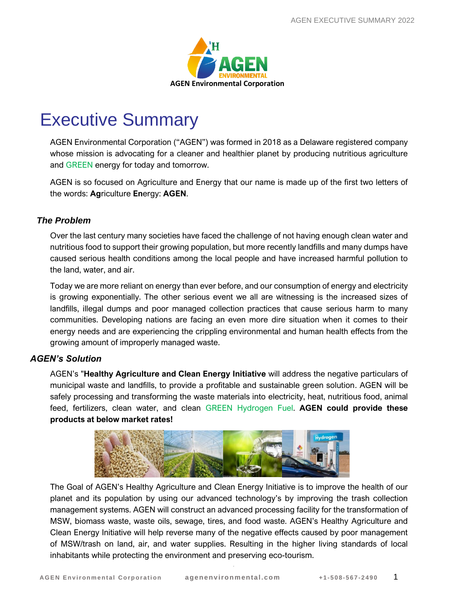

# Executive Summary

AGEN Environmental Corporation ("AGEN") was formed in 2018 as a Delaware registered company whose mission is advocating for a cleaner and healthier planet by producing nutritious agriculture and GREEN energy for today and tomorrow.

AGEN is so focused on Agriculture and Energy that our name is made up of the first two letters of the words: **Ag**riculture **En**ergy: **AGEN**.

# *The Problem*

Over the last century many societies have faced the challenge of not having enough clean water and nutritious food to support their growing population, but more recently landfills and many dumps have caused serious health conditions among the local people and have increased harmful pollution to the land, water, and air.

Today we are more reliant on energy than ever before, and our consumption of energy and electricity is growing exponentially. The other serious event we all are witnessing is the increased sizes of landfills, illegal dumps and poor managed collection practices that cause serious harm to many communities. Developing nations are facing an even more dire situation when it comes to their energy needs and are experiencing the crippling environmental and human health effects from the growing amount of improperly managed waste.

## *AGEN's Solution*

AGEN's "**Healthy Agriculture and Clean Energy Initiative** will address the negative particulars of municipal waste and landfills, to provide a profitable and sustainable green solution. AGEN will be safely processing and transforming the waste materials into electricity, heat, nutritious food, animal feed, fertilizers, clean water, and clean GREEN Hydrogen Fuel. **AGEN could provide these products at below market rates!** 



The Goal of AGEN's Healthy Agriculture and Clean Energy Initiative is to improve the health of our planet and its population by using our advanced technology's by improving the trash collection management systems. AGEN will construct an advanced processing facility for the transformation of MSW, biomass waste, waste oils, sewage, tires, and food waste. AGEN's Healthy Agriculture and Clean Energy Initiative will help reverse many of the negative effects caused by poor management of MSW/trash on land, air, and water supplies. Resulting in the higher living standards of local inhabitants while protecting the environment and preserving eco-tourism.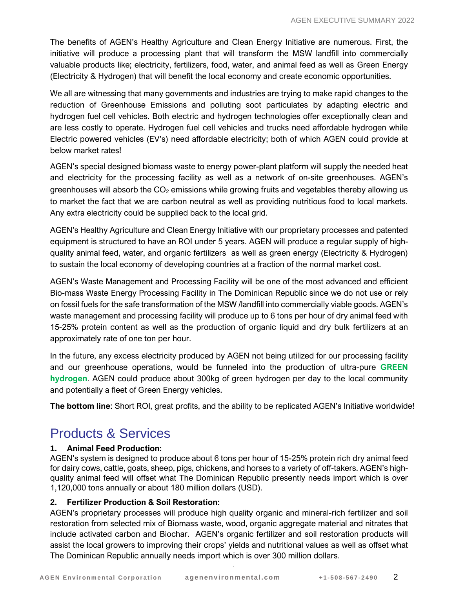The benefits of AGEN's Healthy Agriculture and Clean Energy Initiative are numerous. First, the initiative will produce a processing plant that will transform the MSW landfill into commercially valuable products like; electricity, fertilizers, food, water, and animal feed as well as Green Energy (Electricity & Hydrogen) that will benefit the local economy and create economic opportunities.

We all are witnessing that many governments and industries are trying to make rapid changes to the reduction of Greenhouse Emissions and polluting soot particulates by adapting electric and hydrogen fuel cell vehicles. Both electric and hydrogen technologies offer exceptionally clean and are less costly to operate. Hydrogen fuel cell vehicles and trucks need affordable hydrogen while Electric powered vehicles (EV's) need affordable electricity; both of which AGEN could provide at below market rates!

AGEN's special designed biomass waste to energy power-plant platform will supply the needed heat and electricity for the processing facility as well as a network of on-site greenhouses. AGEN's greenhouses will absorb the  $CO<sub>2</sub>$  emissions while growing fruits and vegetables thereby allowing us to market the fact that we are carbon neutral as well as providing nutritious food to local markets. Any extra electricity could be supplied back to the local grid.

AGEN's Healthy Agriculture and Clean Energy Initiative with our proprietary processes and patented equipment is structured to have an ROI under 5 years. AGEN will produce a regular supply of highquality animal feed, water, and organic fertilizers as well as green energy (Electricity & Hydrogen) to sustain the local economy of developing countries at a fraction of the normal market cost.

AGEN's Waste Management and Processing Facility will be one of the most advanced and efficient Bio-mass Waste Energy Processing Facility in The Dominican Republic since we do not use or rely on fossil fuels for the safe transformation of the MSW /landfill into commercially viable goods. AGEN's waste management and processing facility will produce up to 6 tons per hour of dry animal feed with 15-25% protein content as well as the production of organic liquid and dry bulk fertilizers at an approximately rate of one ton per hour.

In the future, any excess electricity produced by AGEN not being utilized for our processing facility and our greenhouse operations, would be funneled into the production of ultra-pure **GREEN hydrogen**. AGEN could produce about 300kg of green hydrogen per day to the local community and potentially a fleet of Green Energy vehicles.

**The bottom line**: Short ROI, great profits, and the ability to be replicated AGEN's Initiative worldwide!

# Products & Services

#### **1. Animal Feed Production:**

AGEN's system is designed to produce about 6 tons per hour of 15-25% protein rich dry animal feed for dairy cows, cattle, goats, sheep, pigs, chickens, and horses to a variety of off-takers. AGEN's highquality animal feed will offset what The Dominican Republic presently needs import which is over 1,120,000 tons annually or about 180 million dollars (USD).

## **2. Fertilizer Production & Soil Restoration:**

AGEN's proprietary processes will produce high quality organic and mineral-rich fertilizer and soil restoration from selected mix of Biomass waste, wood, organic aggregate material and nitrates that include activated carbon and Biochar. AGEN's organic fertilizer and soil restoration products will assist the local growers to improving their crops' yields and nutritional values as well as offset what The Dominican Republic annually needs import which is over 300 million dollars.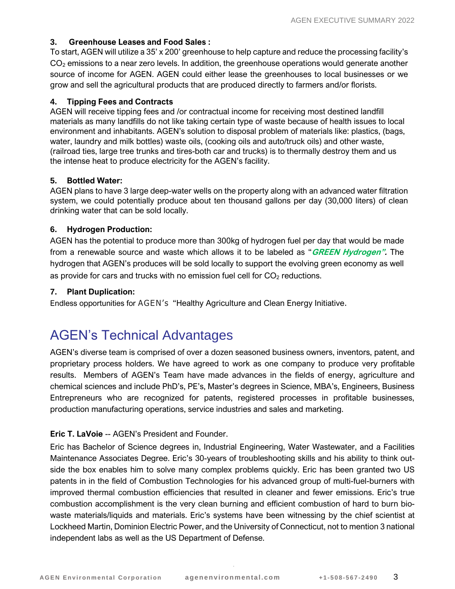#### **3. Greenhouse Leases and Food Sales :**

To start, AGEN will utilize a 35' x 200' greenhouse to help capture and reduce the processing facility's  $CO<sub>2</sub>$  emissions to a near zero levels. In addition, the greenhouse operations would generate another source of income for AGEN. AGEN could either lease the greenhouses to local businesses or we grow and sell the agricultural products that are produced directly to farmers and/or florists.

#### **4. Tipping Fees and Contracts**

AGEN will receive tipping fees and /or contractual income for receiving most destined landfill materials as many landfills do not like taking certain type of waste because of health issues to local environment and inhabitants. AGEN's solution to disposal problem of materials like: plastics, (bags, water, laundry and milk bottles) waste oils, (cooking oils and auto/truck oils) and other waste, (railroad ties, large tree trunks and tires-both car and trucks) is to thermally destroy them and us the intense heat to produce electricity for the AGEN's facility.

#### **5. Bottled Water:**

AGEN plans to have 3 large deep-water wells on the property along with an advanced water filtration system, we could potentially produce about ten thousand gallons per day (30,000 liters) of clean drinking water that can be sold locally.

#### **6. Hydrogen Production:**

AGEN has the potential to produce more than 300kg of hydrogen fuel per day that would be made from a renewable source and waste which allows it to be labeled as "**GREEN Hydrogen".** The hydrogen that AGEN's produces will be sold locally to support the evolving green economy as well as provide for cars and trucks with no emission fuel cell for  $CO<sub>2</sub>$  reductions.

#### **7. Plant Duplication:**

Endless opportunities for AGEN's "Healthy Agriculture and Clean Energy Initiative.

# AGEN's Technical Advantages

AGEN's diverse team is comprised of over a dozen seasoned business owners, inventors, patent, and proprietary process holders. We have agreed to work as one company to produce very profitable results. Members of AGEN's Team have made advances in the fields of energy, agriculture and chemical sciences and include PhD's, PE's, Master's degrees in Science, MBA's, Engineers, Business Entrepreneurs who are recognized for patents, registered processes in profitable businesses, production manufacturing operations, service industries and sales and marketing.

#### **Eric T. LaVoie** -- AGEN's President and Founder.

Eric has Bachelor of Science degrees in, Industrial Engineering, Water Wastewater, and a Facilities Maintenance Associates Degree. Eric's 30-years of troubleshooting skills and his ability to think outside the box enables him to solve many complex problems quickly. Eric has been granted two US patents in in the field of Combustion Technologies for his advanced group of multi-fuel-burners with improved thermal combustion efficiencies that resulted in cleaner and fewer emissions. Eric's true combustion accomplishment is the very clean burning and efficient combustion of hard to burn biowaste materials/liquids and materials. Eric's systems have been witnessing by the chief scientist at Lockheed Martin, Dominion Electric Power, and the University of Connecticut, not to mention 3 national independent labs as well as the US Department of Defense.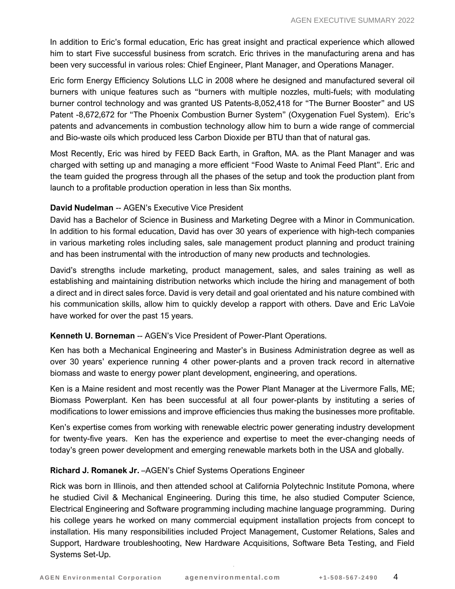In addition to Eric's formal education, Eric has great insight and practical experience which allowed him to start Five successful business from scratch. Eric thrives in the manufacturing arena and has been very successful in various roles: Chief Engineer, Plant Manager, and Operations Manager.

Eric form Energy Efficiency Solutions LLC in 2008 where he designed and manufactured several oil burners with unique features such as "burners with multiple nozzles, multi-fuels; with modulating burner control technology and was granted US Patents-8,052,418 for "The Burner Booster" and US Patent -8,672,672 for "The Phoenix Combustion Burner System" (Oxygenation Fuel System). Eric's patents and advancements in combustion technology allow him to burn a wide range of commercial and Bio-waste oils which produced less Carbon Dioxide per BTU than that of natural gas.

Most Recently, Eric was hired by FEED Back Earth, in Grafton, MA. as the Plant Manager and was charged with setting up and managing a more efficient "Food Waste to Animal Feed Plant". Eric and the team guided the progress through all the phases of the setup and took the production plant from launch to a profitable production operation in less than Six months.

### **David Nudelman** -- AGEN's Executive Vice President

David has a Bachelor of Science in Business and Marketing Degree with a Minor in Communication. In addition to his formal education, David has over 30 years of experience with high-tech companies in various marketing roles including sales, sale management product planning and product training and has been instrumental with the introduction of many new products and technologies.

David's strengths include marketing, product management, sales, and sales training as well as establishing and maintaining distribution networks which include the hiring and management of both a direct and in direct sales force. David is very detail and goal orientated and his nature combined with his communication skills, allow him to quickly develop a rapport with others. Dave and Eric LaVoie have worked for over the past 15 years.

#### **Kenneth U. Borneman** -- AGEN's Vice President of Power-Plant Operations.

Ken has both a Mechanical Engineering and Master's in Business Administration degree as well as over 30 years' experience running 4 other power-plants and a proven track record in alternative biomass and waste to energy power plant development, engineering, and operations.

Ken is a Maine resident and most recently was the Power Plant Manager at the Livermore Falls, ME; Biomass Powerplant. Ken has been successful at all four power-plants by instituting a series of modifications to lower emissions and improve efficiencies thus making the businesses more profitable.

Ken's expertise comes from working with renewable electric power generating industry development for twenty-five years. Ken has the experience and expertise to meet the ever-changing needs of today's green power development and emerging renewable markets both in the USA and globally.

#### **Richard J. Romanek Jr.** –AGEN's Chief Systems Operations Engineer

Rick was born in Illinois, and then attended school at California Polytechnic Institute Pomona, where he studied Civil & Mechanical Engineering. During this time, he also studied Computer Science, Electrical Engineering and Software programming including machine language programming. During his college years he worked on many commercial equipment installation projects from concept to installation. His many responsibilities included Project Management, Customer Relations, Sales and Support, Hardware troubleshooting, New Hardware Acquisitions, Software Beta Testing, and Field Systems Set-Up.